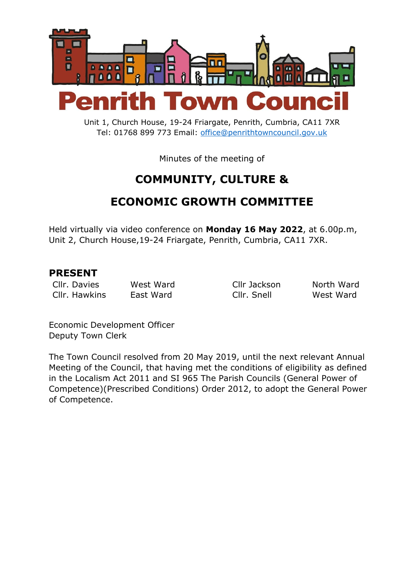

Unit 1, Church House, 19-24 Friargate, Penrith, Cumbria, CA11 7XR Tel: 01768 899 773 Email: [office@penrithtowncouncil.gov.uk](mailto:office@penrithtowncouncil.gov.uk)

Minutes of the meeting of

# **COMMUNITY, CULTURE &**

# **ECONOMIC GROWTH COMMITTEE**

Held virtually via video conference on **Monday 16 May 2022**, at 6.00p.m, Unit 2, Church House,19-24 Friargate, Penrith, Cumbria, CA11 7XR.

#### **PRESENT**

Cllr. Davies West Ward Cllr Jackson North Ward Cllr. Hawkins East Ward Cllr. Snell West Ward

Economic Development Officer Deputy Town Clerk

The Town Council resolved from 20 May 2019, until the next relevant Annual Meeting of the Council, that having met the conditions of eligibility as defined in the Localism Act 2011 and SI 965 The Parish Councils (General Power of Competence)(Prescribed Conditions) Order 2012, to adopt the General Power of Competence.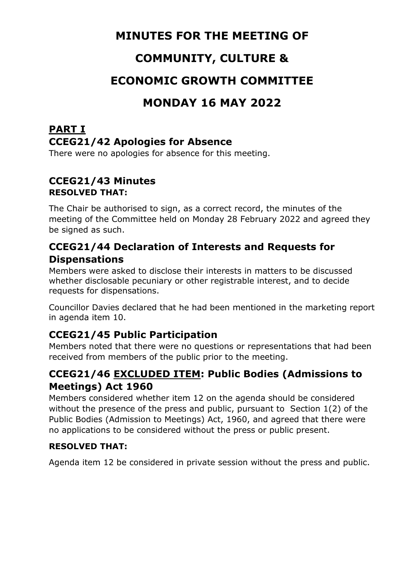## **MINUTES FOR THE MEETING OF**

# **COMMUNITY, CULTURE &**

# **ECONOMIC GROWTH COMMITTEE**

## **MONDAY 16 MAY 2022**

# **PART I CCEG21/42 Apologies for Absence**

There were no apologies for absence for this meeting.

#### **CCEG21/43 Minutes RESOLVED THAT:**

The Chair be authorised to sign, as a correct record, the minutes of the meeting of the Committee held on Monday 28 February 2022 and agreed they be signed as such.

### **CCEG21/44 Declaration of Interests and Requests for Dispensations**

Members were asked to disclose their interests in matters to be discussed whether disclosable pecuniary or other registrable interest, and to decide requests for dispensations.

Councillor Davies declared that he had been mentioned in the marketing report in agenda item 10.

### **CCEG21/45 Public Participation**

Members noted that there were no questions or representations that had been received from members of the public prior to the meeting.

### **CCEG21/46 EXCLUDED ITEM: Public Bodies (Admissions to Meetings) Act 1960**

Members considered whether item 12 on the agenda should be considered without the presence of the press and public, pursuant to Section 1(2) of the Public Bodies (Admission to Meetings) Act, 1960, and agreed that there were no applications to be considered without the press or public present.

#### **RESOLVED THAT:**

Agenda item 12 be considered in private session without the press and public.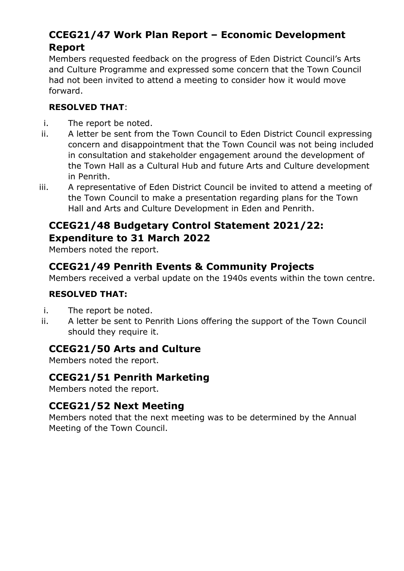### **CCEG21/47 Work Plan Report – Economic Development Report**

Members requested feedback on the progress of Eden District Council's Arts and Culture Programme and expressed some concern that the Town Council had not been invited to attend a meeting to consider how it would move forward.

#### **RESOLVED THAT**:

- i. The report be noted.
- ii. A letter be sent from the Town Council to Eden District Council expressing concern and disappointment that the Town Council was not being included in consultation and stakeholder engagement around the development of the Town Hall as a Cultural Hub and future Arts and Culture development in Penrith.
- iii. A representative of Eden District Council be invited to attend a meeting of the Town Council to make a presentation regarding plans for the Town Hall and Arts and Culture Development in Eden and Penrith.

## **CCEG21/48 Budgetary Control Statement 2021/22: Expenditure to 31 March 2022**

Members noted the report.

### **CCEG21/49 Penrith Events & Community Projects**

Members received a verbal update on the 1940s events within the town centre.

#### **RESOLVED THAT:**

- i. The report be noted.
- ii. A letter be sent to Penrith Lions offering the support of the Town Council should they require it.

### **CCEG21/50 Arts and Culture**

Members noted the report.

### **CCEG21/51 Penrith Marketing**

Members noted the report.

### **CCEG21/52 Next Meeting**

Members noted that the next meeting was to be determined by the Annual Meeting of the Town Council.